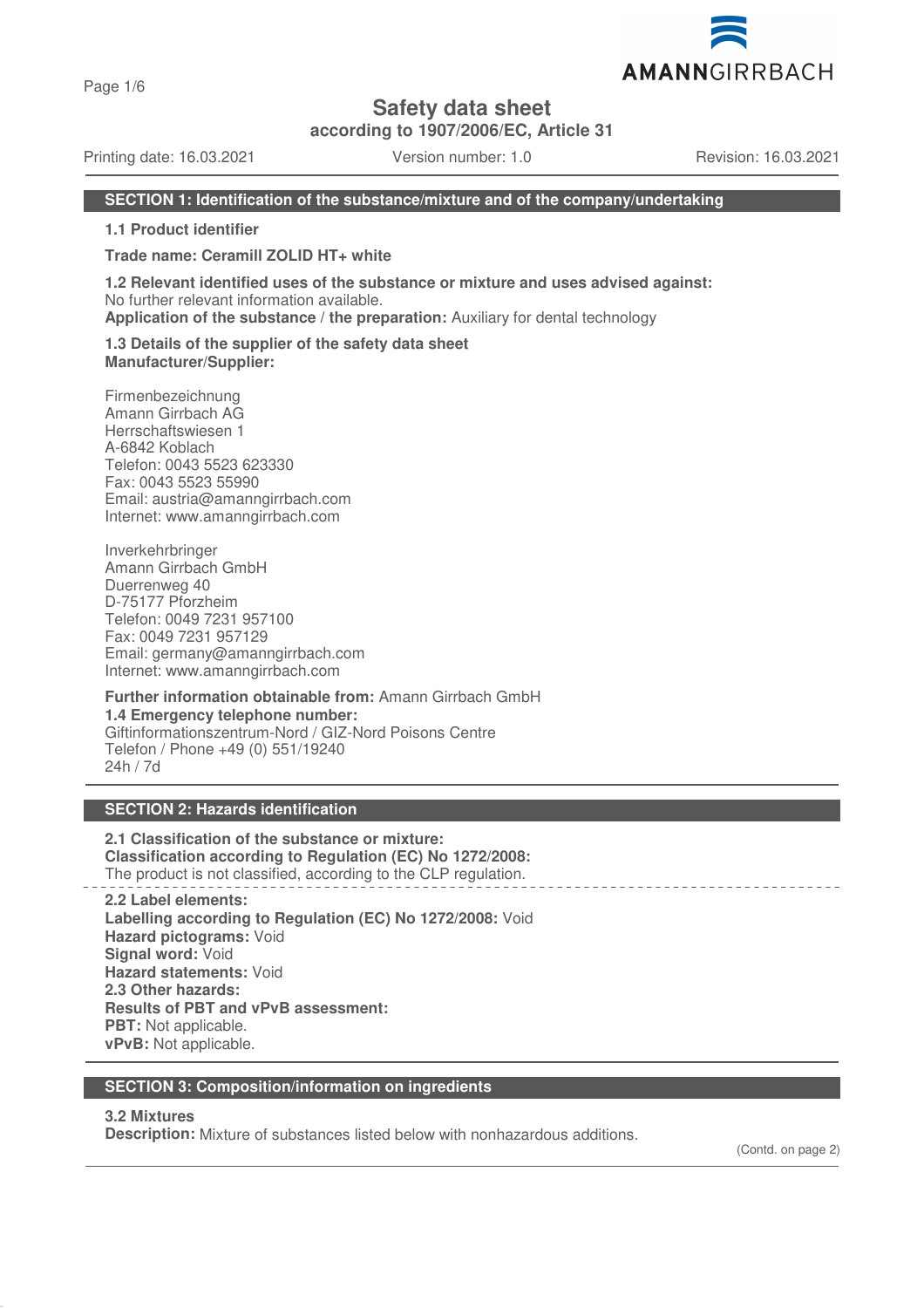Page 1/6

# **Safety data sheet**

**according to 1907/2006/EC, Article 31**

Printing date: 16.03.2021 Version number: 1.0 Revision: 16.03.2021

AMANNGIRRBACH

## **SECTION 1: Identification of the substance/mixture and of the company/undertaking**

**1.1 Product identifier**

**Trade name: Ceramill ZOLID HT+ white**

**1.2 Relevant identified uses of the substance or mixture and uses advised against:** No further relevant information available.

**Application of the substance / the preparation:** Auxiliary for dental technology

**1.3 Details of the supplier of the safety data sheet Manufacturer/Supplier:**

Firmenbezeichnung Amann Girrbach AG Herrschaftswiesen 1 A-6842 Koblach Telefon: 0043 5523 623330 Fax: 0043 5523 55990 Email: austria@amanngirrbach.com Internet: www.amanngirrbach.com

Inverkehrbringer Amann Girrbach GmbH Duerrenweg 40 D-75177 Pforzheim Telefon: 0049 7231 957100 Fax: 0049 7231 957129 Email: germany@amanngirrbach.com Internet: www.amanngirrbach.com

**Further information obtainable from:** Amann Girrbach GmbH **1.4 Emergency telephone number:** Giftinformationszentrum-Nord / GIZ-Nord Poisons Centre Telefon / Phone +49 (0) 551/19240 24h / 7d

## **SECTION 2: Hazards identification**

**2.1 Classification of the substance or mixture: Classification according to Regulation (EC) No 1272/2008:** The product is not classified, according to the CLP regulation.

**2.2 Label elements: Labelling according to Regulation (EC) No 1272/2008:** Void **Hazard pictograms:** Void **Signal word:** Void **Hazard statements:** Void **2.3 Other hazards: Results of PBT and vPvB assessment: PBT:** Not applicable. **vPvB:** Not applicable.

### **SECTION 3: Composition/information on ingredients**

## **3.2 Mixtures**

**Description:** Mixture of substances listed below with nonhazardous additions.

(Contd. on page 2)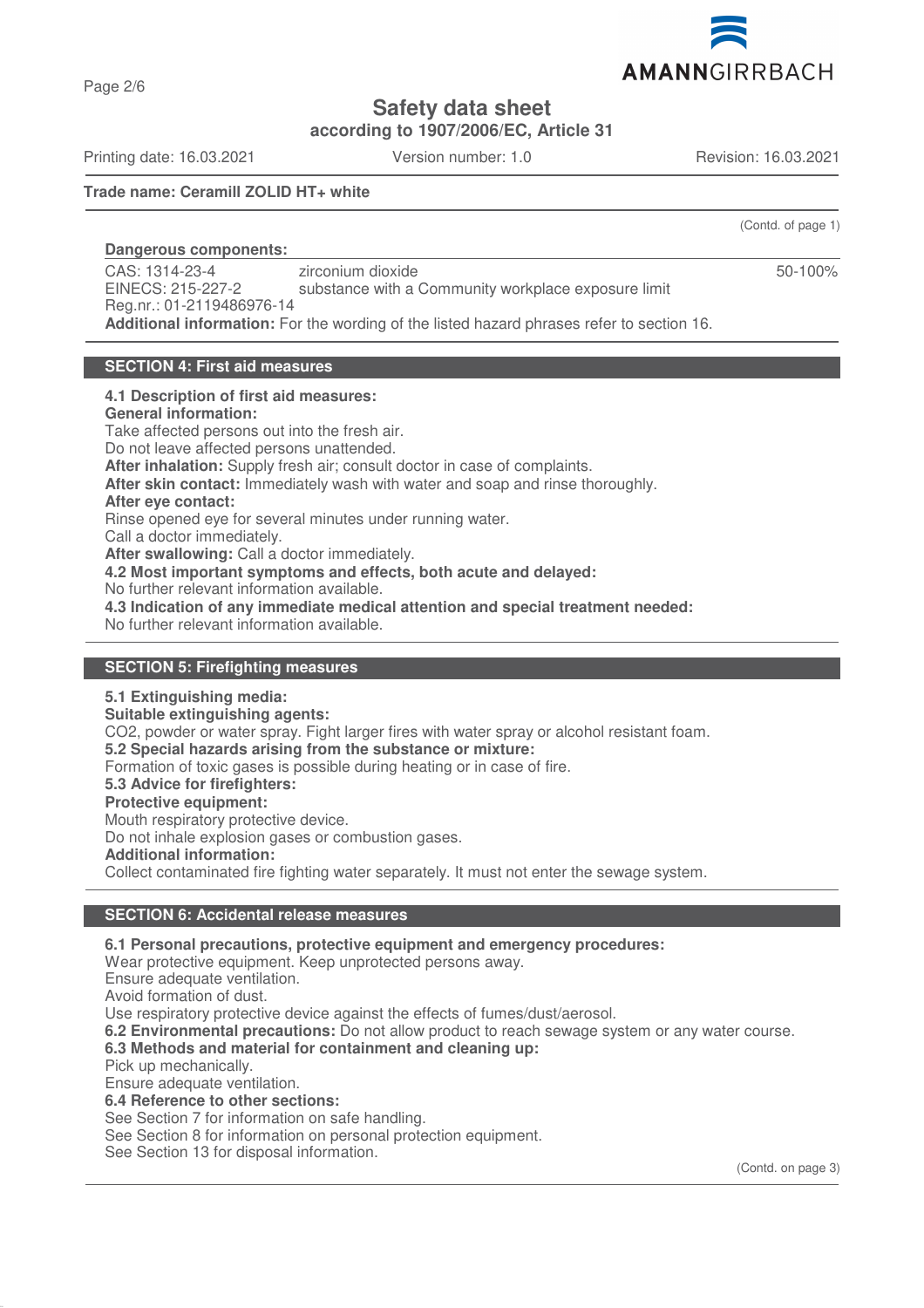

**according to 1907/2006/EC, Article 31**

Printing date: 16.03.2021 Version number: 1.0 Revision: 16.03.2021

(Contd. of page 1)

50-100%

## **Trade name: Ceramill ZOLID HT+ white**

## **Dangerous components:**

CAS: 1314-23-4 EINECS: 215-227-2 Reg.nr.: 01-2119486976-14 zirconium dioxide substance with a Community workplace exposure limit **Additional information:** For the wording of the listed hazard phrases refer to section 16.

## **SECTION 4: First aid measures**

### **4.1 Description of first aid measures:**

#### **General information:**

Take affected persons out into the fresh air. Do not leave affected persons unattended. **After inhalation:** Supply fresh air; consult doctor in case of complaints. **After skin contact:** Immediately wash with water and soap and rinse thoroughly. **After eye contact:** Rinse opened eye for several minutes under running water. Call a doctor immediately. **After swallowing:** Call a doctor immediately. **4.2 Most important symptoms and effects, both acute and delayed:** No further relevant information available. **4.3 Indication of any immediate medical attention and special treatment needed:** No further relevant information available.

## **SECTION 5: Firefighting measures**

## **5.1 Extinguishing media:**

**Suitable extinguishing agents:** CO2, powder or water spray. Fight larger fires with water spray or alcohol resistant foam. **5.2 Special hazards arising from the substance or mixture:** Formation of toxic gases is possible during heating or in case of fire. **5.3 Advice for firefighters: Protective equipment:** Mouth respiratory protective device.

Do not inhale explosion gases or combustion gases.

#### **Additional information:**

Collect contaminated fire fighting water separately. It must not enter the sewage system.

## **SECTION 6: Accidental release measures**

## **6.1 Personal precautions, protective equipment and emergency procedures:**

Wear protective equipment. Keep unprotected persons away.

Ensure adequate ventilation.

Avoid formation of dust.

Use respiratory protective device against the effects of fumes/dust/aerosol.

**6.2 Environmental precautions:** Do not allow product to reach sewage system or any water course.

## **6.3 Methods and material for containment and cleaning up:**

Pick up mechanically.

Ensure adequate ventilation.

# **6.4 Reference to other sections:**

See Section 7 for information on safe handling.

See Section 8 for information on personal protection equipment.

See Section 13 for disposal information.

(Contd. on page 3)

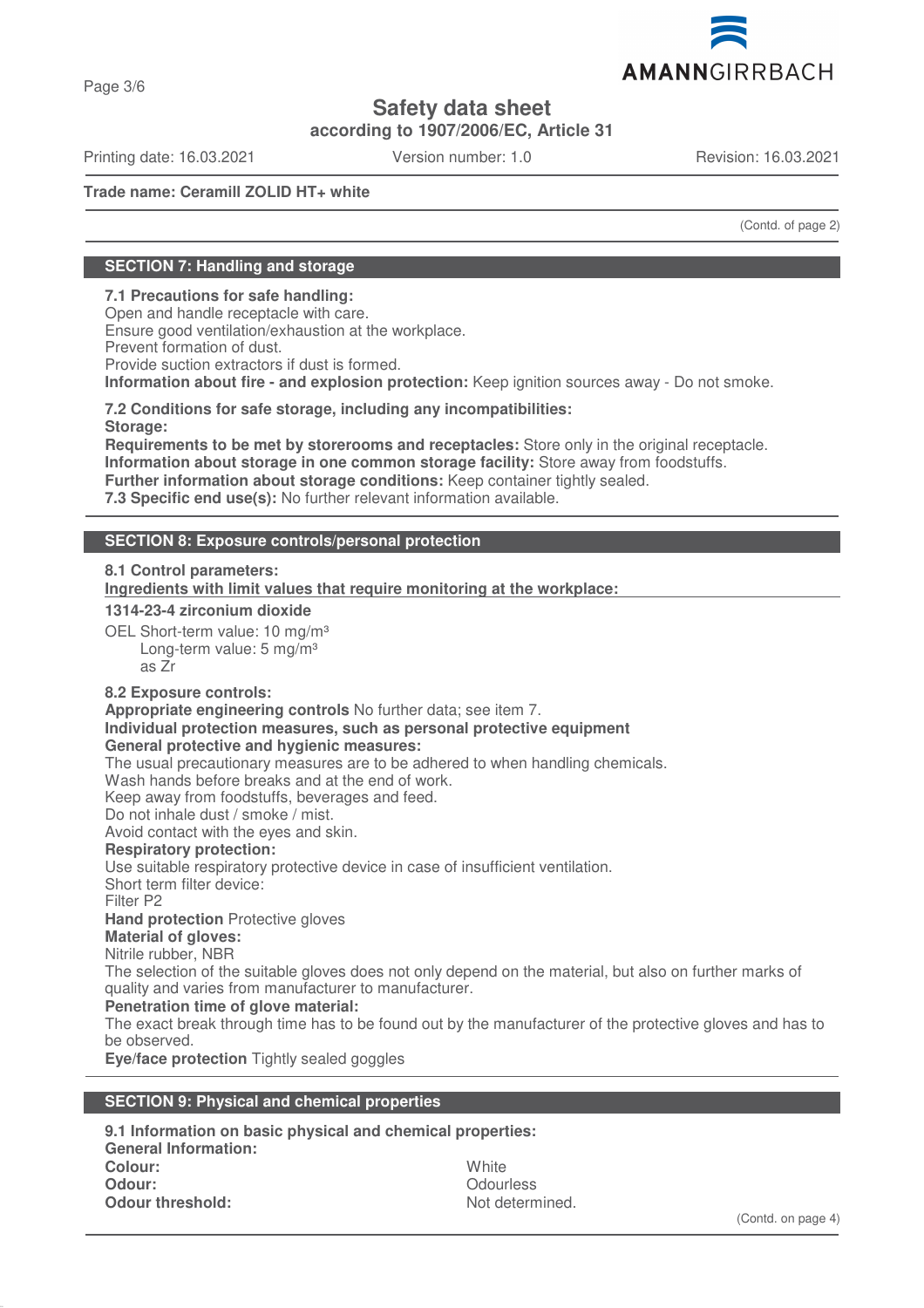# AMANNGIRRBACH **Safety data sheet**

**according to 1907/2006/EC, Article 31**

Printing date: 16.03.2021 Version number: 1.0 Revision: 16.03.2021

**Trade name: Ceramill ZOLID HT+ white**

(Contd. of page 2)

## **SECTION 7: Handling and storage**

**7.1 Precautions for safe handling:**

Open and handle receptacle with care. Ensure good ventilation/exhaustion at the workplace. Prevent formation of dust. Provide suction extractors if dust is formed. **Information about fire - and explosion protection:** Keep ignition sources away - Do not smoke.

**7.2 Conditions for safe storage, including any incompatibilities: Storage:**

**Requirements to be met by storerooms and receptacles:** Store only in the original receptacle. **Information about storage in one common storage facility:** Store away from foodstuffs. **Further information about storage conditions:** Keep container tightly sealed. **7.3 Specific end use(s):** No further relevant information available.

## **SECTION 8: Exposure controls/personal protection**

## **8.1 Control parameters:**

**Ingredients with limit values that require monitoring at the workplace:** 

## **1314-23-4 zirconium dioxide**

OEL Short-term value: 10 mg/m<sup>3</sup> Long-term value: 5 mg/m<sup>3</sup> as Zr

## **8.2 Exposure controls:**

**Appropriate engineering controls** No further data; see item 7.

# **Individual protection measures, such as personal protective equipment**

**General protective and hygienic measures:**

The usual precautionary measures are to be adhered to when handling chemicals.

Wash hands before breaks and at the end of work.

Keep away from foodstuffs, beverages and feed.

Do not inhale dust / smoke / mist.

Avoid contact with the eyes and skin.

## **Respiratory protection:**

Use suitable respiratory protective device in case of insufficient ventilation.

Short term filter device:

Filter P2

## **Hand protection** Protective gloves

**Material of gloves:**

Nitrile rubber, NBR

The selection of the suitable gloves does not only depend on the material, but also on further marks of quality and varies from manufacturer to manufacturer.

## **Penetration time of glove material:**

The exact break through time has to be found out by the manufacturer of the protective gloves and has to be observed.

**Eye/face protection** Tightly sealed goggles

## **SECTION 9: Physical and chemical properties**

**9.1 Information on basic physical and chemical properties: General Information: Colour:** White **Odour:** Odourless **Odour threshold:** Not determined.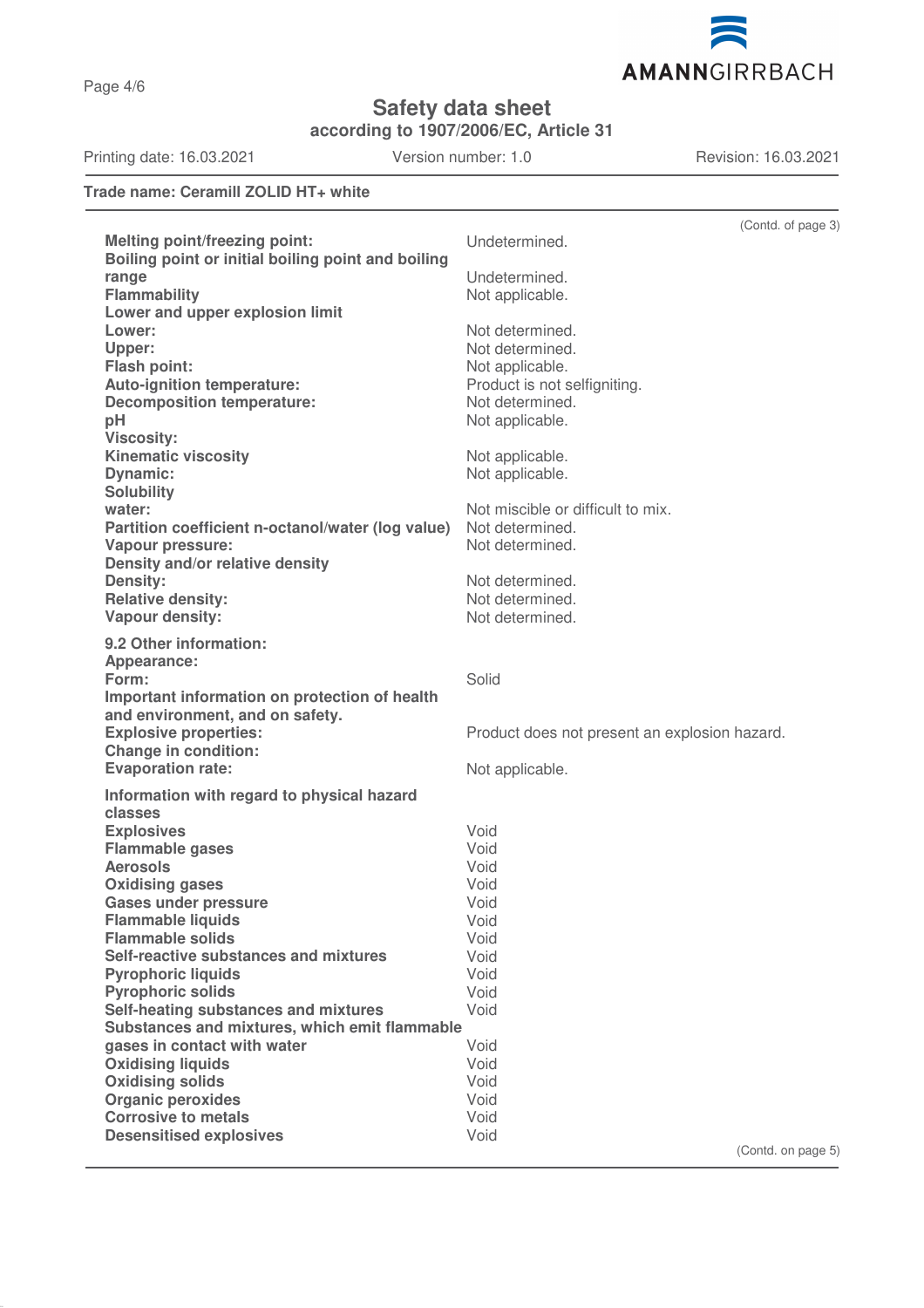

**according to 1907/2006/EC, Article 31**

Printing date: 16.03.2021 Version number: 1.0 Revision: 16.03.2021

## **Trade name: Ceramill ZOLID HT+ white**

|                                                    | (Contd. of page 3)                            |
|----------------------------------------------------|-----------------------------------------------|
| <b>Melting point/freezing point:</b>               | Undetermined.                                 |
| Boiling point or initial boiling point and boiling |                                               |
| range                                              | Undetermined.                                 |
| <b>Flammability</b>                                | Not applicable.                               |
| Lower and upper explosion limit                    |                                               |
| Lower:                                             | Not determined.                               |
| Upper:                                             | Not determined.                               |
|                                                    |                                               |
| <b>Flash point:</b>                                | Not applicable.                               |
| Auto-ignition temperature:                         | Product is not selfigniting.                  |
| <b>Decomposition temperature:</b>                  | Not determined.                               |
| pH                                                 | Not applicable.                               |
| <b>Viscosity:</b>                                  |                                               |
| <b>Kinematic viscosity</b>                         | Not applicable.                               |
| <b>Dynamic:</b>                                    | Not applicable.                               |
| <b>Solubility</b>                                  |                                               |
| water:                                             | Not miscible or difficult to mix.             |
| Partition coefficient n-octanol/water (log value)  | Not determined.                               |
| <b>Vapour pressure:</b>                            | Not determined.                               |
| Density and/or relative density                    |                                               |
| Density:                                           | Not determined.                               |
| <b>Relative density:</b>                           | Not determined.                               |
| Vapour density:                                    | Not determined.                               |
|                                                    |                                               |
| 9.2 Other information:                             |                                               |
| Appearance:                                        |                                               |
| Form:                                              | Solid                                         |
| Important information on protection of health      |                                               |
| and environment, and on safety.                    |                                               |
| <b>Explosive properties:</b>                       | Product does not present an explosion hazard. |
| <b>Change in condition:</b>                        |                                               |
| <b>Evaporation rate:</b>                           | Not applicable.                               |
|                                                    |                                               |
| Information with regard to physical hazard         |                                               |
| classes                                            |                                               |
| <b>Explosives</b>                                  | Void                                          |
| <b>Flammable gases</b>                             | Void                                          |
| <b>Aerosols</b>                                    | Void                                          |
| <b>Oxidising gases</b>                             | Void                                          |
| <b>Gases under pressure</b>                        | Void                                          |
| <b>Flammable liquids</b>                           | Void                                          |
| <b>Flammable solids</b>                            | Void                                          |
| Self-reactive substances and mixtures              | Void                                          |
| <b>Pyrophoric liquids</b>                          | Void                                          |
| <b>Pyrophoric solids</b>                           | Void                                          |
| Self-heating substances and mixtures               | Void                                          |
| Substances and mixtures, which emit flammable      |                                               |
| gases in contact with water                        | Void                                          |
| <b>Oxidising liquids</b>                           | Void                                          |
| <b>Oxidising solids</b>                            | Void                                          |
| <b>Organic peroxides</b>                           | Void                                          |
| <b>Corrosive to metals</b>                         | Void                                          |
| <b>Desensitised explosives</b>                     | Void                                          |
|                                                    | (Contd. on page 5)                            |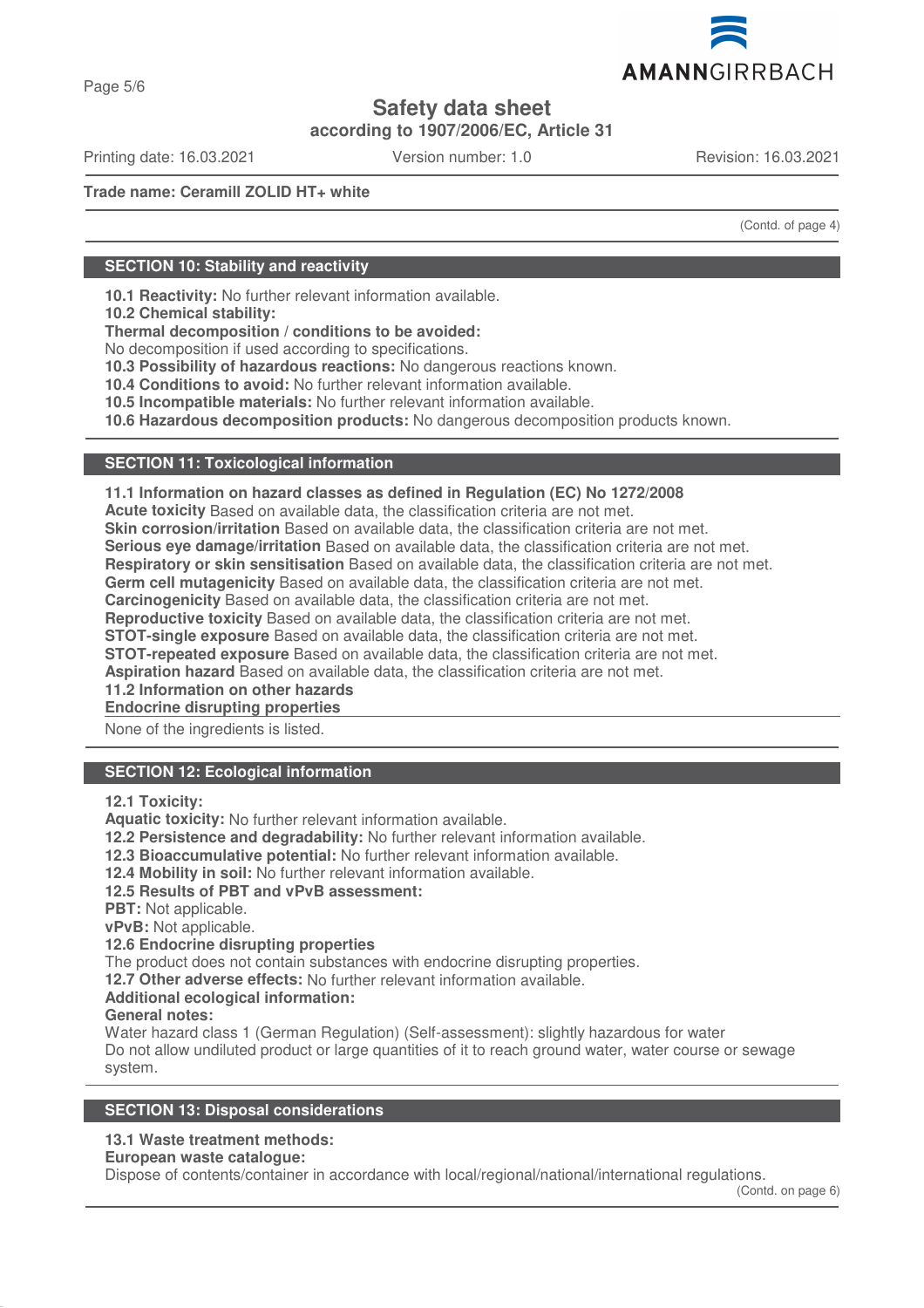

**according to 1907/2006/EC, Article 31**

Printing date: 16.03.2021 Version number: 1.0 Revision: 16.03.2021

**Trade name: Ceramill ZOLID HT+ white**

(Contd. of page 4)

## **SECTION 10: Stability and reactivity**

**10.1 Reactivity:** No further relevant information available.

**10.2 Chemical stability:**

**Thermal decomposition / conditions to be avoided:**

No decomposition if used according to specifications.

**10.3 Possibility of hazardous reactions:** No dangerous reactions known.

**10.4 Conditions to avoid:** No further relevant information available.

**10.5 Incompatible materials:** No further relevant information available.

**10.6 Hazardous decomposition products:** No dangerous decomposition products known.

## **SECTION 11: Toxicological information**

**11.1 Information on hazard classes as defined in Regulation (EC) No 1272/2008**

**Acute toxicity** Based on available data, the classification criteria are not met.

**Skin corrosion/irritation** Based on available data, the classification criteria are not met.

**Serious eye damage/irritation** Based on available data, the classification criteria are not met.

**Respiratory or skin sensitisation** Based on available data, the classification criteria are not met.

**Germ cell mutagenicity** Based on available data, the classification criteria are not met.

**Carcinogenicity** Based on available data, the classification criteria are not met.

**Reproductive toxicity** Based on available data, the classification criteria are not met.

**STOT-single exposure** Based on available data, the classification criteria are not met.

**STOT-repeated exposure** Based on available data, the classification criteria are not met.

**Aspiration hazard** Based on available data, the classification criteria are not met.

**11.2 Information on other hazards**

**Endocrine disrupting properties** 

None of the ingredients is listed.

## **SECTION 12: Ecological information**

**12.1 Toxicity:**

**Aquatic toxicity:** No further relevant information available.

**12.2 Persistence and degradability:** No further relevant information available.

**12.3 Bioaccumulative potential:** No further relevant information available.

**12.4 Mobility in soil:** No further relevant information available.

**12.5 Results of PBT and vPvB assessment:**

**PBT:** Not applicable.

**vPvB:** Not applicable.

## **12.6 Endocrine disrupting properties**

The product does not contain substances with endocrine disrupting properties.

**12.7 Other adverse effects:** No further relevant information available.

## **Additional ecological information:**

## **General notes:**

Water hazard class 1 (German Regulation) (Self-assessment): slightly hazardous for water Do not allow undiluted product or large quantities of it to reach ground water, water course or sewage system.

## **SECTION 13: Disposal considerations**

## **13.1 Waste treatment methods:**

**European waste catalogue:**

Dispose of contents/container in accordance with local/regional/national/international regulations.

# Page 5/6